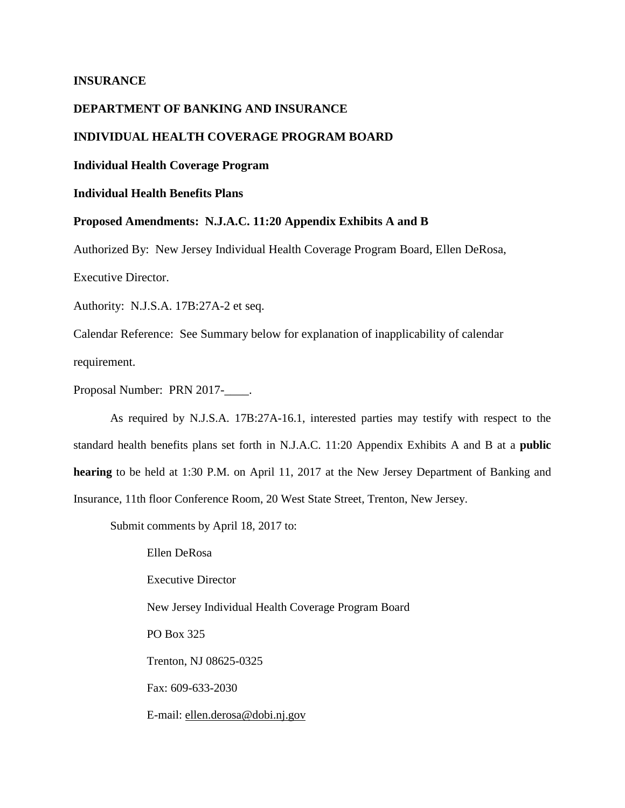## **INSURANCE**

## **DEPARTMENT OF BANKING AND INSURANCE**

# **INDIVIDUAL HEALTH COVERAGE PROGRAM BOARD**

### **Individual Health Coverage Program**

## **Individual Health Benefits Plans**

#### **Proposed Amendments: N.J.A.C. 11:20 Appendix Exhibits A and B**

Authorized By: New Jersey Individual Health Coverage Program Board, Ellen DeRosa,

Executive Director.

Authority: N.J.S.A. 17B:27A-2 et seq.

Calendar Reference: See Summary below for explanation of inapplicability of calendar requirement.

Proposal Number: PRN 2017-\_\_\_\_.

As required by N.J.S.A. 17B:27A-16.1, interested parties may testify with respect to the standard health benefits plans set forth in N.J.A.C. 11:20 Appendix Exhibits A and B at a **public hearing** to be held at 1:30 P.M. on April 11, 2017 at the New Jersey Department of Banking and Insurance, 11th floor Conference Room, 20 West State Street, Trenton, New Jersey.

Submit comments by April 18, 2017 to:

Ellen DeRosa Executive Director New Jersey Individual Health Coverage Program Board PO Box 325 Trenton, NJ 08625-0325 Fax: 609-633-2030 E-mail: ellen.derosa@dobi.nj.gov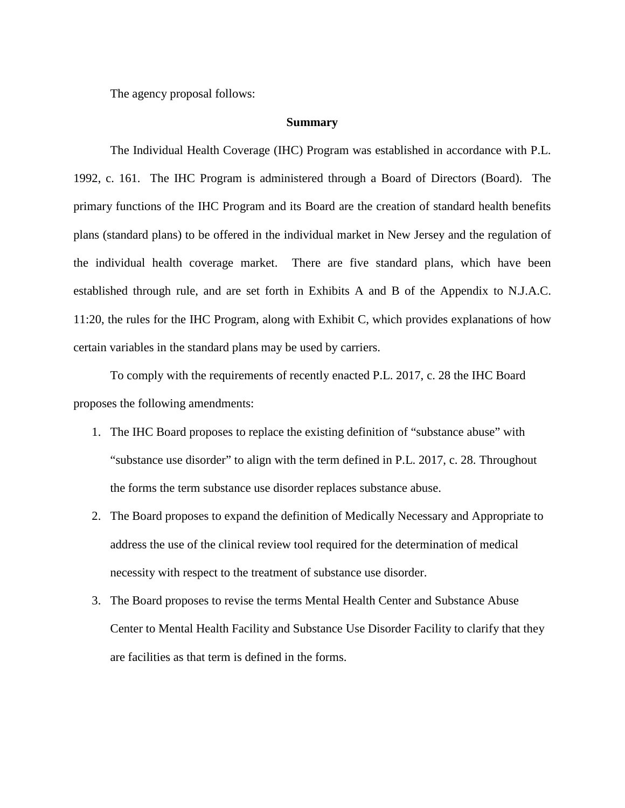The agency proposal follows:

#### **Summary**

The Individual Health Coverage (IHC) Program was established in accordance with P.L. 1992, c. 161. The IHC Program is administered through a Board of Directors (Board). The primary functions of the IHC Program and its Board are the creation of standard health benefits plans (standard plans) to be offered in the individual market in New Jersey and the regulation of the individual health coverage market. There are five standard plans, which have been established through rule, and are set forth in Exhibits A and B of the Appendix to N.J.A.C. 11:20, the rules for the IHC Program, along with Exhibit C, which provides explanations of how certain variables in the standard plans may be used by carriers.

To comply with the requirements of recently enacted P.L. 2017, c. 28 the IHC Board proposes the following amendments:

- 1. The IHC Board proposes to replace the existing definition of "substance abuse" with "substance use disorder" to align with the term defined in P.L. 2017, c. 28. Throughout the forms the term substance use disorder replaces substance abuse.
- 2. The Board proposes to expand the definition of Medically Necessary and Appropriate to address the use of the clinical review tool required for the determination of medical necessity with respect to the treatment of substance use disorder.
- 3. The Board proposes to revise the terms Mental Health Center and Substance Abuse Center to Mental Health Facility and Substance Use Disorder Facility to clarify that they are facilities as that term is defined in the forms.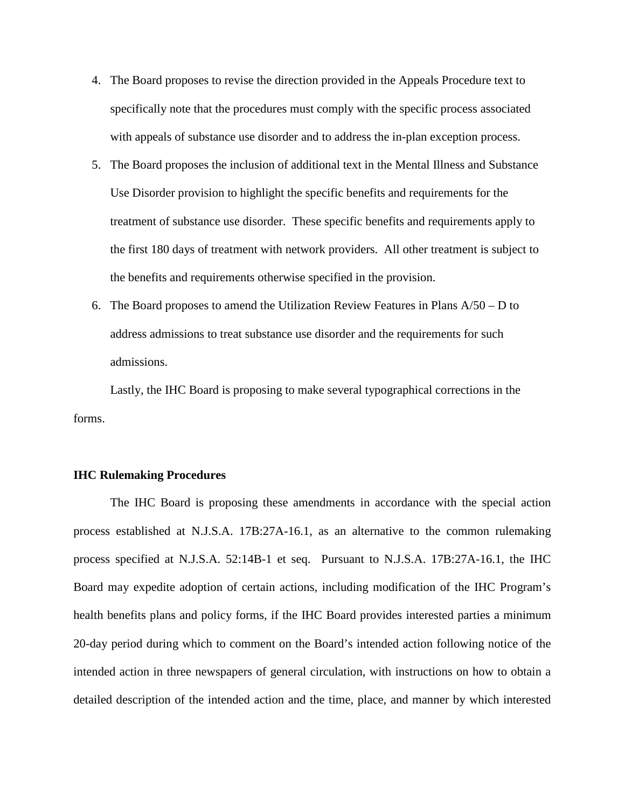- 4. The Board proposes to revise the direction provided in the Appeals Procedure text to specifically note that the procedures must comply with the specific process associated with appeals of substance use disorder and to address the in-plan exception process.
- 5. The Board proposes the inclusion of additional text in the Mental Illness and Substance Use Disorder provision to highlight the specific benefits and requirements for the treatment of substance use disorder. These specific benefits and requirements apply to the first 180 days of treatment with network providers. All other treatment is subject to the benefits and requirements otherwise specified in the provision.
- 6. The Board proposes to amend the Utilization Review Features in Plans  $A/50 D$  to address admissions to treat substance use disorder and the requirements for such admissions.

Lastly, the IHC Board is proposing to make several typographical corrections in the forms.

### **IHC Rulemaking Procedures**

The IHC Board is proposing these amendments in accordance with the special action process established at N.J.S.A. 17B:27A-16.1, as an alternative to the common rulemaking process specified at N.J.S.A. 52:14B-1 et seq. Pursuant to N.J.S.A. 17B:27A-16.1, the IHC Board may expedite adoption of certain actions, including modification of the IHC Program's health benefits plans and policy forms, if the IHC Board provides interested parties a minimum 20-day period during which to comment on the Board's intended action following notice of the intended action in three newspapers of general circulation, with instructions on how to obtain a detailed description of the intended action and the time, place, and manner by which interested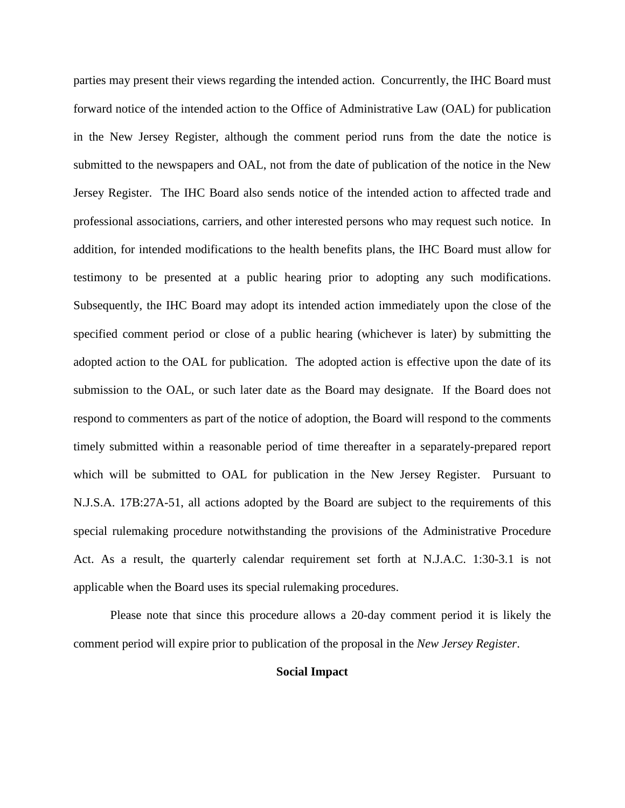parties may present their views regarding the intended action. Concurrently, the IHC Board must forward notice of the intended action to the Office of Administrative Law (OAL) for publication in the New Jersey Register, although the comment period runs from the date the notice is submitted to the newspapers and OAL, not from the date of publication of the notice in the New Jersey Register. The IHC Board also sends notice of the intended action to affected trade and professional associations, carriers, and other interested persons who may request such notice. In addition, for intended modifications to the health benefits plans, the IHC Board must allow for testimony to be presented at a public hearing prior to adopting any such modifications. Subsequently, the IHC Board may adopt its intended action immediately upon the close of the specified comment period or close of a public hearing (whichever is later) by submitting the adopted action to the OAL for publication. The adopted action is effective upon the date of its submission to the OAL, or such later date as the Board may designate. If the Board does not respond to commenters as part of the notice of adoption, the Board will respond to the comments timely submitted within a reasonable period of time thereafter in a separately-prepared report which will be submitted to OAL for publication in the New Jersey Register. Pursuant to N.J.S.A. 17B:27A-51, all actions adopted by the Board are subject to the requirements of this special rulemaking procedure notwithstanding the provisions of the Administrative Procedure Act. As a result, the quarterly calendar requirement set forth at N.J.A.C. 1:30-3.1 is not applicable when the Board uses its special rulemaking procedures.

Please note that since this procedure allows a 20-day comment period it is likely the comment period will expire prior to publication of the proposal in the *New Jersey Register*.

## **Social Impact**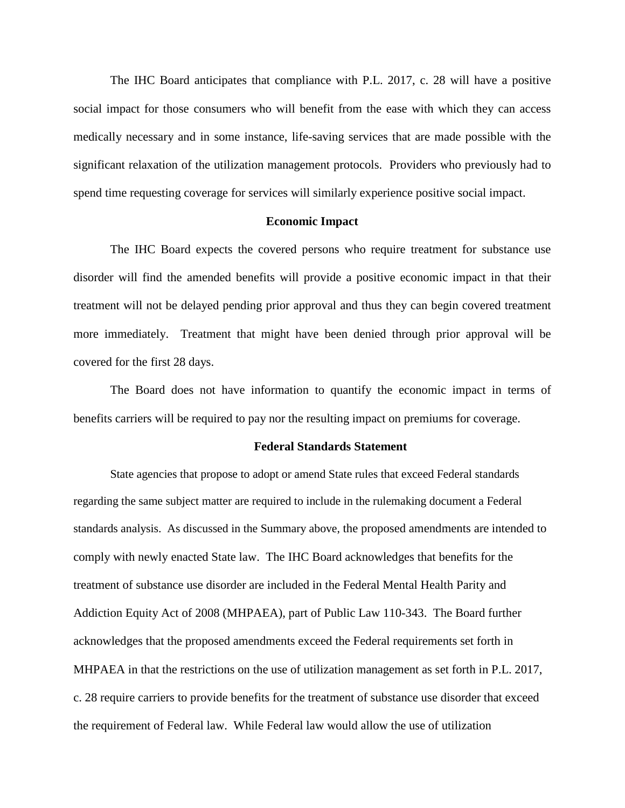The IHC Board anticipates that compliance with P.L. 2017, c. 28 will have a positive social impact for those consumers who will benefit from the ease with which they can access medically necessary and in some instance, life-saving services that are made possible with the significant relaxation of the utilization management protocols. Providers who previously had to spend time requesting coverage for services will similarly experience positive social impact.

## **Economic Impact**

The IHC Board expects the covered persons who require treatment for substance use disorder will find the amended benefits will provide a positive economic impact in that their treatment will not be delayed pending prior approval and thus they can begin covered treatment more immediately. Treatment that might have been denied through prior approval will be covered for the first 28 days.

The Board does not have information to quantify the economic impact in terms of benefits carriers will be required to pay nor the resulting impact on premiums for coverage.

#### **Federal Standards Statement**

State agencies that propose to adopt or amend State rules that exceed Federal standards regarding the same subject matter are required to include in the rulemaking document a Federal standards analysis. As discussed in the Summary above, the proposed amendments are intended to comply with newly enacted State law. The IHC Board acknowledges that benefits for the treatment of substance use disorder are included in the Federal Mental Health Parity and Addiction Equity Act of 2008 (MHPAEA), part of Public Law 110-343. The Board further acknowledges that the proposed amendments exceed the Federal requirements set forth in MHPAEA in that the restrictions on the use of utilization management as set forth in P.L. 2017, c. 28 require carriers to provide benefits for the treatment of substance use disorder that exceed the requirement of Federal law. While Federal law would allow the use of utilization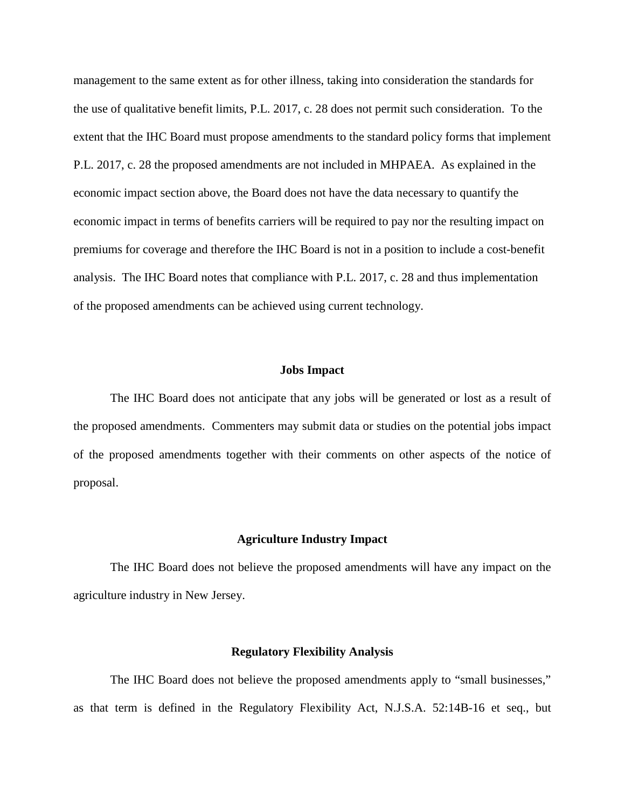management to the same extent as for other illness, taking into consideration the standards for the use of qualitative benefit limits, P.L. 2017, c. 28 does not permit such consideration. To the extent that the IHC Board must propose amendments to the standard policy forms that implement P.L. 2017, c. 28 the proposed amendments are not included in MHPAEA. As explained in the economic impact section above, the Board does not have the data necessary to quantify the economic impact in terms of benefits carriers will be required to pay nor the resulting impact on premiums for coverage and therefore the IHC Board is not in a position to include a cost-benefit analysis. The IHC Board notes that compliance with P.L. 2017, c. 28 and thus implementation of the proposed amendments can be achieved using current technology.

# **Jobs Impact**

The IHC Board does not anticipate that any jobs will be generated or lost as a result of the proposed amendments. Commenters may submit data or studies on the potential jobs impact of the proposed amendments together with their comments on other aspects of the notice of proposal.

### **Agriculture Industry Impact**

The IHC Board does not believe the proposed amendments will have any impact on the agriculture industry in New Jersey.

### **Regulatory Flexibility Analysis**

The IHC Board does not believe the proposed amendments apply to "small businesses," as that term is defined in the Regulatory Flexibility Act, N.J.S.A. 52:14B-16 et seq., but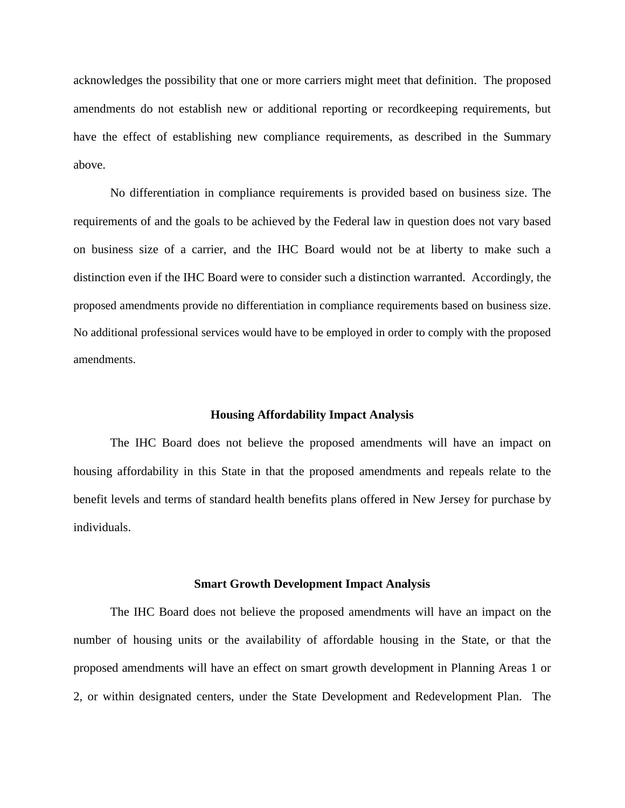acknowledges the possibility that one or more carriers might meet that definition. The proposed amendments do not establish new or additional reporting or recordkeeping requirements, but have the effect of establishing new compliance requirements, as described in the Summary above.

No differentiation in compliance requirements is provided based on business size. The requirements of and the goals to be achieved by the Federal law in question does not vary based on business size of a carrier, and the IHC Board would not be at liberty to make such a distinction even if the IHC Board were to consider such a distinction warranted. Accordingly, the proposed amendments provide no differentiation in compliance requirements based on business size. No additional professional services would have to be employed in order to comply with the proposed amendments.

#### **Housing Affordability Impact Analysis**

The IHC Board does not believe the proposed amendments will have an impact on housing affordability in this State in that the proposed amendments and repeals relate to the benefit levels and terms of standard health benefits plans offered in New Jersey for purchase by individuals.

#### **Smart Growth Development Impact Analysis**

The IHC Board does not believe the proposed amendments will have an impact on the number of housing units or the availability of affordable housing in the State, or that the proposed amendments will have an effect on smart growth development in Planning Areas 1 or 2, or within designated centers, under the State Development and Redevelopment Plan. The